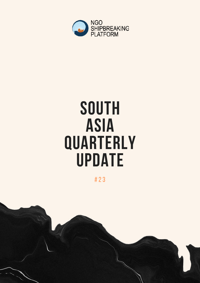

# SOUTH ASIA **QUARTERLY** UPDATE

# 23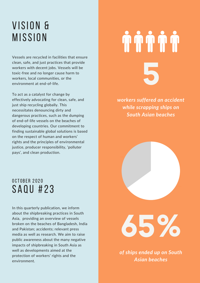### VISION & **MISSION**

Vessels are recycled in facilities that ensure clean, safe, and just practices that provide workers with decent jobs. Vessels will be toxic-free and no longer cause harm to workers, local communities, or the environment at end-of-life.

To act as a catalyst for change by effectively advocating for clean, safe, and just ship recycling globally. This necessitates denouncing dirty and dangerous practices, such as the dumping of end-of-life vessels on the beaches of developing countries. Our commitment to finding sustainable global solutions is based on the respect of human and workers' rights and the principles of environmental justice, producer responsibility, 'polluter pays', and clean production.

# **5**

*workers suffered an accident while scrapping ships on South Asian beaches*

35%

### OCTOBER 2020 SAQU #23

In this quarterly publication, we inform about the shipbreaking practices in South Asia, providing an overview of vessels broken on the beaches of Bangladesh, India and Pakistan; accidents; relevant press media as well as research. We aim to raise public awareness about the many negative impacts of shipbreaking in South Asia as well as developments aimed at the protection of workers' rights and the environment.

**65%**

*of ships ended up on South Asian beaches*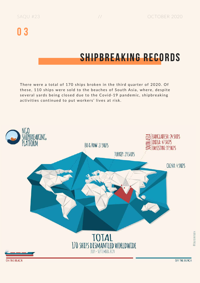### SHIPBREAKING RECORDS

There were a total of 170 ships broken in the third quarter of 2020. Of these, 110 ships were sold to the beaches of South Asia, where, despite several yards being closed due to the Covid-19 pandemic, shipbreaking activities continued to put workers' lives at risk.



**CERTIO BEFRIELK**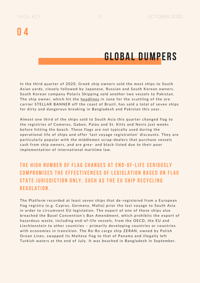### GLOBAL DUMPERS

In the third quarter of 2020, Greek ship owners sold the most ships to South Asian yards, closely followed by Japanese, Russian and South Korean owners. South Korean company Polaris Shipping sold another two vessels to Pakistan. The ship owner, which hit the [headl](https://splash247.com/stellar-banner-scuttling-caught-on-dramatic-video/)ines in June for the scuttling of the ore carrier STELLAR BANNER off the coast of Brazil, has sold a total of seven ships for dirty and dangerous breaking in Bangladesh and Pakistan this year.

Almost one third of the ships sold to South Asia this quarter changed flag to the registries of Comoros, Gabon, Palau and St. Kitts and Nevis just weeks before hitting the beach. These flags are not typically used during the operational life of ships and offer 'last voyage registration' discounts. They are particularly popular with the middlemen scrap-dealers that purchase vessels cash from ship owners, and are grey- and black-listed due to their poor implementation of international maritime law.

### THE HIGH NUMBER OF FLAG CHANGES AT END-OF-LIFE SERIOUSLY COMPROMISES THE EFFECTIVENESS OF LEGISLATION BASED ON FLAG STATE JURISDICTION ONLY. SUCH AS THE EU SHIP RECYCLING r egul a tio n .

The Platform recorded at least seven ships that de-registered from a European flag registry (e.g. Cyprus, Germany, Malta) prior the last voyage to South Asia in order to circumvent EU legislation. The export of one of these ships also breached the Basel Convention's Ban Amendment, which prohibits the export of hazardous waste, including end-of-life vessels, from the OECD, the EU and Liechtenstein to other countries - primarily developing countries or countries with economies in transition. The Ro-Ro cargo ship ZERAN, owned by Polish Ocean Lines, swapped its Maltese flag to that of Panama and illegally left Turkish waters at the end of July. It was beached in Bangladesh in September.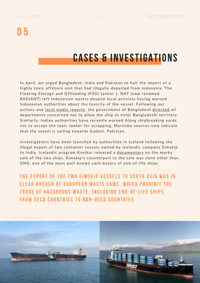### በ 5

### CASES & INVESTIGATIONS

In April, we urged Bangladesh, India and Pakistan to halt the import of a highly toxic offshore unit that had illegally departed from Indonesia. The Floating Storage and Offloading (FSO) tanker J. NAT (now renamed RADIANT) left Indonesian waters despite local activists having warned Indonesian authorities about the toxicity of the vessel. Following our actions and local media [report](https://www.thedailystar.net/editorial/news/stop-the-toxic-ship-docking-our-shores-1898317)s, the government of Bangladesh [direc](https://www.thedailystar.net/backpage/news/govt-restricts-the-entry-toxic-ship-1898908)ted all departments concerned not to allow the ship to enter Bangladeshi territory. Similarly, Indian authorities have recently warned Alang shipbreaking yards not to accept the toxic tanker for scrapping. Maritime sources now indicate that the vessel is sailing towards Gadani, Pakistan.

Investigations have been launched by authorities in Iceland following the illegal export of two container vessels owned by Icelandic company Eimskip to India. Icelandic program Kveikur released a [document](https://shipbreakingplatform.org/breach-eu-wsr-godafoss-laxfoss/)ary on the murky sale of the two ships. Eimskip's counterpart to the sale was none other than GMS, one of the most well-known cash buyers of end-of-life ships.

THE EXPORT OF THE TWO EIMSKIP VESSELS TO SOUTH ASIA WAS IN **CLEAR BREACH OF EUROPEAN WASTE LAWS, WHICH PROHIBIT THE** TRADE OF HAZARDOUS WASTE. INCLUDING END-OF-LIFE SHIPS. FROM OFCD COUNTRIFS TO NON-OFCD COUNTRIFS

THE J. NAT AND AN EIMSKIP'S VESSEL

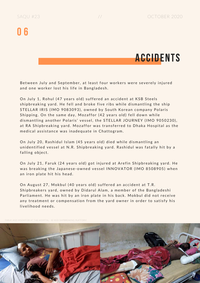

Between July and September, at least four workers were severely injured and one worker lost his life in Bangladesh.

On July 1, Rohul (47 years old) suffered an accident at KSB Steels shipbreaking yard. He fell and broke five ribs while dismantling the ship STELLAR IRIS (IMO 9083093), owned by South Korean company Polaris Shipping. On the same day, Mozaffor (42 years old) fell down while dismantling another Polaris' vessel, the STELLAR JOURNEY (IMO 9050230), at RA Shipbreaking yard. Mozaffor was transferred to Dhaka Hospital as the medical assistance was inadequate in Chattogram.

On July 20, Rashidul Islam (45 years old) died while dismantling an unidentified vessel at N.R. Shipbreaking yard. Rashidul was fatally hit by a falling object.

On July 21, Faruk (24 years old) got injured at Arefin Shipbreaking yard. He was breaking the Japanese-owned vessel INNOVATOR (IMO 8508905) when an iron plate hit his head.

On August 27, Mokbul (40 years old) suffered an accident at T.R. Shipbreakers yard, owned by Didarul Alam, a member of the Bangladeshi Parliament. He was hit by an iron plate in his back. Mokbul did not receive any treatment or compensation from the yard owner in order to satisfy his livelihood needs.

FARUK AND MOZAFFOR AT THE HOSPITAL - © NGO SHIPBREAKING PLATFORM

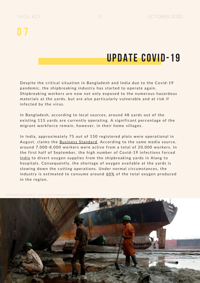### UPDATE COVID-19

Despite the critical situation in Bangladesh and India due to the Covid-19 pandemic, the shipbreaking industry has started to operate again. Shipbreaking workers are now not only exposed to the numerous hazardous materials at the yards, but are also particularly vulnerable and at risk if infected by the virus.

In Bangladesh, according to local sources, around 48 yards out of the existing 115 yards are currently operating. A significant percentage of the migrant workforce remain, however, in their home villages.

In India, approximately 75 out of 150 registered plots were operational in August, claims the Business St[anda](https://www.business-standard.com/article/economy-policy/covid-hit-alang-ship-recycling-hub-eyes-old-vehicle-scrappage-opportunity-120082701444_1.html)rd. According to the same media source, around 7.000-8.000 workers were active from a total of 20.000 workers. In the first half of September, the high number of Covid-19 infections forced [Indi](https://splash247.com/indian-shipbreaking-yards-set-to-suspend-operations-due-to-oxygen-shortage/)a to divert oxygen supplies from the shipbreaking yards in Alang to hospitals. Consequently, the shortage of oxygen available at the yards is slowing down the cutting operations. Under normal circumstances, the industry is estimated to consume around [60%](https://timesofindia.indiatimes.com/city/ahmedabad/covid-chokes-industries-oxygen-supply/articleshow/78026877.cms) of the total oxygen produced in the region.

CHATTOGRAM, BANGLADESH - 2020 - © NGO SHIPBREAKING PLATFORM

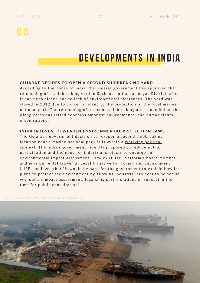### DEVELOPMENTS IN INDIA

#### GUJARAT DECIDES TO OPEN A SECOND SHIPBREAKING YARD

According to the [Times](https://timesofindia.indiatimes.com/city/ahmedabad/gujarat-government-to-restart-ship-breaking-yard-at-sachana/articleshow/77692445.cms) of India, the Gujarat government has approved the re-opening of a shipbreaking yard in Sachana, in the Jamnagar District, after it had been closed due to lack of environmental clearances. The yard was c[losed](https://indianexpress.com/article/india/jamnagar-govt-to-restart-gujarat-maritime-boards-ship-breaking-yard-at-sachana-village-6564794/) in 2012 due to concerns linked to the protection of the local marine national park. The re-opening of a second shipbreaking area modelled on the Alang yards has raised concerns amongst environmental and human rights organisations.

#### INDIA INTENDS TO WEAKEN ENVIRONMENTAL PROTECTION LAWS

The Gujarat's government decision to re-open a second shipbreaking location near a marine national park falls within a worrying political context. The Indian [government](https://economictimes.indiatimes.com/news/economy/policy/centres-push-to-ease-environmental-regulations-for-speedy-clearances-sparks-a-row/articleshow/78009746.cms?utm_source=contentofinterest&utm_medium=text&utm_campaign=cppst) recently proposed to reduce public participation and the need for industrial projects to undergo an environmental impact assessment. Ritwick Dutta, Platform's board member and environmental lawyer at Legal Initiative for Forest and Environment (LIFE), believes that "it would be hard for the government to explain how it plans to protect the environment by allowing industrial projects to be set up without an impact assessment, legalizing past violations or squeezing the time for public consultation".

ONE IMAGE OF ALANG BEACH - 2019 - © NGO SHIPBREAKING PLATEORM

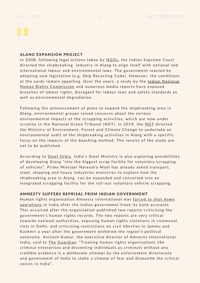#### ALANG EXPANSION PROJECT

In 2008, following legal actions taken by [NGOs](http://www.lead-journal.org/content/08135.pdf), the Indian Supreme Court directed the shipbreaking industry in Alang to align itself with national and international labour and environmental laws. The government reacted by adopting new legislation (e.g. Ship Recycling Code). However, the conditions at the yards remain appalling. Over the years, a study by the Indian National Human Rights Commission and [numerous](https://nhrc.nic.in/sites/default/files/study_alang_sosiya_ship_breaking_yard_drgeetanjoy_TISS_05062018.pdf) media reports have exposed breaches of labour rights, disregard for labour laws and safety standards as well as environmental degredation.

Following the announcement of plans to expand the shipbreaking area in Alang, environmental groups raised concerns about the serious environmental impacts of the scrapping activities, which are now under scrutiny in the National Green Tribunal ([NGT](http://www.indiaenvironmentportal.org.in/files/file/ship-breaking-environment-impact-NGT-order.pdf)). In 2019, the NGT directed the Ministry of Environment, Forest and Climate Change to undertake an environmental audit of the shipbreaking activities in Alang with a specific focus on the impacts of the beaching method. The results of the study are yet to be published.

According to [Steel](https://www.steelorbis.com/steel-news/latest-news/indias-steel-ministry-explores-expanding-alang-ship_breaking-yard-to-vehicle-scrapping-hub-1162807.htm) Orbis, India's Steel Ministry is also exploring possibilities of developing Alang "into the biggest scrap facility for voluntary scrapping of vehicles". Prime Minister Narendra Modi has already asked transport, steel, shipping and heavy industries ministries to explore how the shipbreaking area in Alang can be expanded and converted into an integrated scrapping facility for the roll-out voluntary vehicle scrapping.

#### AMNESTY SUFFERS REPRISAL FROM INDIAN GOVERNMENT

Human rights organisation Amnesty International was forced to shut down operations in India after the Indian [government](https://amnesty.org.in/news-update/amnesty-international-india-halts-its-work-on-upholding-human-rights-in-india-due-to-reprisal-from-government-of-india-2/) froze its bank accounts. This occurred after the organisation published two reports criticising the government's human rights records. The two reports are very critical towards national authorities, exposing human rights violations in communal riots in Delhi, and criticising restrictions on civil liberties in Jammu and Kashmir a year after the government withdrew the region's political autonomy. Avinash Kumar, the executive director of Amnesty International India, said to The [Gua](https://www.theguardian.com/world/2020/sep/29/amnesty-to-halt-work-in-india-due-to-government-witch-hunt)rdian: "Treating human rights organisations like criminal enterprises and dissenting individuals as criminals without any credible evidence is a deliberate attempt by the enforcement directorate and government of India to stoke a climate of fear and dismantle the critical voices in India".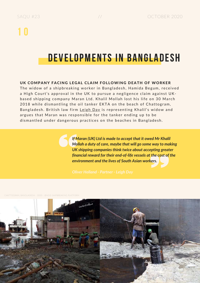### DEVELOPMENTS IN BANGLADESH

#### UK COMPANY FACING LEGAL CLAIM FOLLOWING DEATH OF WORKER

The widow of a shipbreaking worker in Bangladesh, Hamida Begum, received a High Court's approval in the UK to pursue a negligence claim against UKbased shipping company Maran Ltd. Khalil Mollah lost his life on 30 March 2018 while dismantling the oil tanker EKTA on the beach of Chattogram, Bangladesh. British law firm [Leigh](https://www.leighday.co.uk/News/Press-releases-2020/July-2020/Widow-of-shipbreaking-worker-free-to-pursue-neglig?utm_campaign=coschedule&utm_source=twitter&utm_medium=LeighDay_Law) Day is representing Khalil's widow and argues that Maran was responsible for the tanker ending up to be dismantled under dangerous practices on the beaches in Bangladesh.

> *If Maran (UK) Ltd is made to accept that it owed Mr Khalil Mollah a duty of care, maybe that will go some way to making UK shipping companies think twice about accepting greater financial reward for their end-of-life vessels at the cost of the environment and the lives of South Asian workers.*

M, BANGLADESH - 2020 - ©NGO SHIPBREAKING PLATFORM

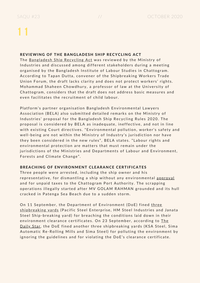#### REVIEWING OF THE BANGLADESH SHIP RECYCLING ACT

The Bangl[adesh](https://www.thedailystar.net/business/news/upcoming-law-needs-address-ship-breaking-workers-concerns-1956625) Ship Recycling Act was reviewed by the Ministry of Industries and discussed among different stakeholders during a meeting organised by the Bangladesh Institute of Labour Studies in Chattogram. According to Tapan Dutta, convener of the Shipbreaking Workers Trade Union Forum, the draft lacks clarity and does not protect workers' rights. Mohammad Shaheen Chowdhury, a professor of law at the University of Chattogram, considers that the draft does not address basic measures and even facilitates the recruitment of child labour.

Platform's partner organisation Bangladesh Environmental Lawyers Association (BELA) also submitted detailed remarks on the Ministry of Industries' proposal for the Bangladesh Ship Recycling Rules 2020. The proposal is considered by BELA as inadequate, ineffective, and not in line with existing Court directives. "Environmental pollution, worker's safety and well-being are not within the Ministry of Industry's jurisdiction nor have they been considered in the new rules", BELA states. "Labour rights and environmental protection are matters that must remain under the jurisdictions of the Ministries and Departments of Labour and Environment, Forests and Climate Change".

#### BREACHING OF ENVIRONMENT CLEARANCE CERTIFICATES

Three people were arrested, including the ship owner and his representative, for dismantling a ship without any environmental [approv](https://www.newagebd.net/article/115763/3-arrested-for-breaking-ship-at-patenga)al and for unpaid taxes to the Chattogram Port Authority. The scrapping operations illegally started after MV GOLAM RAHMAN grounded and its hull cracked in Patenga Sea Beach due to a sudden storm.

On 11 [September,](https://www.dhakatribune.com/bangladesh/nation/2020/09/11/3-shipyards-fined-for-violating-environment-rules) the Department of Environment (DoE) fined three shipbreaking yards (Pacific Steel Enterprise, HM Steel Industries and Janata Steel Ship-breaking yard) for breaching the conditions laid down in their environment clearance certificates. On 23 [September,](https://www.thedailystar.net/3-shipbreaking-yards-fined-tk-3-lakh-pollution-violation-clearance-conditions-1966261) according to The Daily Star, the DoE fined another three shipbreaking yards (KSA Steel, Sima Automatic Re-Rolling Mills and Sima Steel) for polluting the environment by ignoring the guidelines and for violating the DoE's clearance certificate.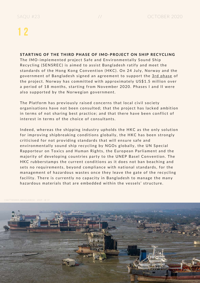#### STARTING OF THE THIRD PHASE OF IMO-PROJECT ON SHIP RECYCLING

The IMO-implemented project Safe and Environmentally Sound Ship Recycling (SENSREC) is aimed to assist Bangladesh ratify and meet the standards of the Hong Kong Convention (HKC). On 24 July, Norway and the government of Bangladesh signed an agreement to support the 3rd [pha](https://www.allaboutshipping.co.uk/2020/08/04/ship-recycling-in-bangladesh-leaps-forward-with-third-phase-of-key-project-signed/)se of the project. Norway has committed with approximately US\$1.5 million over a period of 18 months, starting from November 2020. Phases I and II were also supported by the Norwegian government.

The Platform has previously raised concerns that local civil society organisations have not been consulted; that the project has lacked ambition in terms of not sharing best practice; and that there have been conflict of interest in terms of the choice of consultants.

Indeed, whereas the shipping industry upholds the HKC as the only solution for improving shipbreaking conditions globally, the HKC has been strongly criticised for not providing standards that will ensure safe and environmentally sound ship recycling by NGOs globally, the UN Special Rapporteur on Toxics and Human Rights, the European Parliament and the majority of developing countries party to the UNEP Basel Convention. The HKC rubberstamps the current conditions as it does not ban beaching and sets no requirements, beyond compliance with national standards, for the management of hazardous wastes once they leave the gate of the recycling facility. There is currently no capacity in Bangladesh to manage the many hazardous materials that are embedded within the vessels' structure.

HATTOGRAM, BANGLADESH - 2019 - © CF

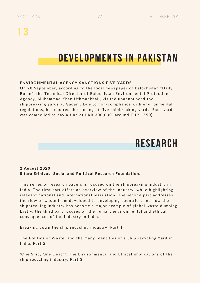### DEVELOPMENTS IN PAKISTAN

#### ENVIRONMENTAL AGENCY SANCTIONS FIVE YARDS

On 28 September, according to the local newspaper of Balochistan "Daily Bolan", the Technical Director of Balochistan Environmental Protection Agency, Muhammad Khan Uthmankhail, visited unannounced the shipbreaking yards at Gadani. Due to non-compliance with environmental regulations, he required the closing of five shipbreaking yards. Each yard was compelled to pay a fine of PKR 300,000 (around EUR 1550).

### RESEARCH

#### 2 August 2020 Sitara Srinivas, Social and Political Research Foundation.

This series of research papers is focused on the shipbreaking industry in India. The first part offers an overview of the industry, while highlighting relevant national and international legislation. The second part addresses the flow of waste from developed to developing countries, and how the shipbreaking industry has become a major example of global waste dumping. Lastly, the third part focuses on the human, environmental and ethical consequences of the industry in India.

Breaking down the ship recycling industry. [Pa](https://www.sprf.in/post/breaking-down-the-ship-recycling-industry)rt 1

The Politics of Waste, and the many Identities of a Ship recycling Yard in India. [Pa](https://www.sprf.in/post/the-politics-of-waste-and-the-many-identities-of-a-ship-recycling-yard-in-india)rt 2.

'One Ship, One Death': The Environmental and Ethical implications of the ship recycling industry. [Pa](https://www.sprf.in/post/one-ship-one-death-the-environmental-and-ethical-implications-of-the-ship-recycling-industry)rt 3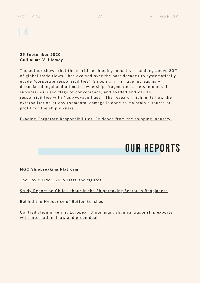#### 25 September 2020 Guillaume Vuillemey

The author shows that the maritime shipping industry - handling above 80% of global trade flows - has evolved over the past decades to systematically evade "corporate responsibilities". Shipping firms have increasingly dissociated legal and ultimate ownership, fragmented assets in one-ship subsidiaries, used flags of convenience, and evaded end-of-life responsibilities with "last-voyage flags". The research highlights how the externalisation of environmental damage is done to maintain a source of profit for the ship owners.

Evading Corporate Responsibilities: Evidence from the [shipping](https://papers.ssrn.com/sol3/papers.cfm?abstract_id=3691188) industry.

### OUR REPORTS

#### NGO Shipbreaking Platform

The Toxic Tide - 2019 Data and [figures](https://www.offthebeach.org/)

Study Report on Child Labour in the [Shipbrea](https://www.shipbreakingplatform.org/wp-content/uploads/2020/04/Child20Labor20Final.pdf)king Sector in Bangladesh

[Behind](https://www.shipbreakingplatform.org/wp-content/uploads/2019/01/Final-Report-PE.pdf) the Hypocrisy of Better Beaches

Contradiction in terms: [European](https://www.shipbreakingplatform.org/wp-content/uploads/2020/09/Report-EU-SRR-Ban-Amendment-BAN-EEB-GP-SBP.pdf) Union must align its waste ship exports with international law and green deal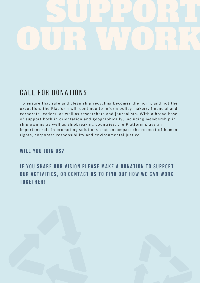

### CALL FOR DONATIONS

To ensure that safe and clean ship recycling becomes the norm, and not the exception, the Platform will continue to inform policy makers, financial and corporate leaders, as well as researchers and journalists. With a broad base of support both in orientation and geographically, including membership in ship owning as well as shipbreaking countries, the Platform plays an important role in promoting solutions that encompass the respect of human rights, corporate responsibility and environmental justice.

#### WILL YOU JOIN US?

### IF YOU SHARE OUR VISION PLEASE MAKE A DONATION TO SUPPORT OUR ACTIVITIES, OR CONTACT US TO FIND OUT HOW WE CAN WORK TOGFTHFR!